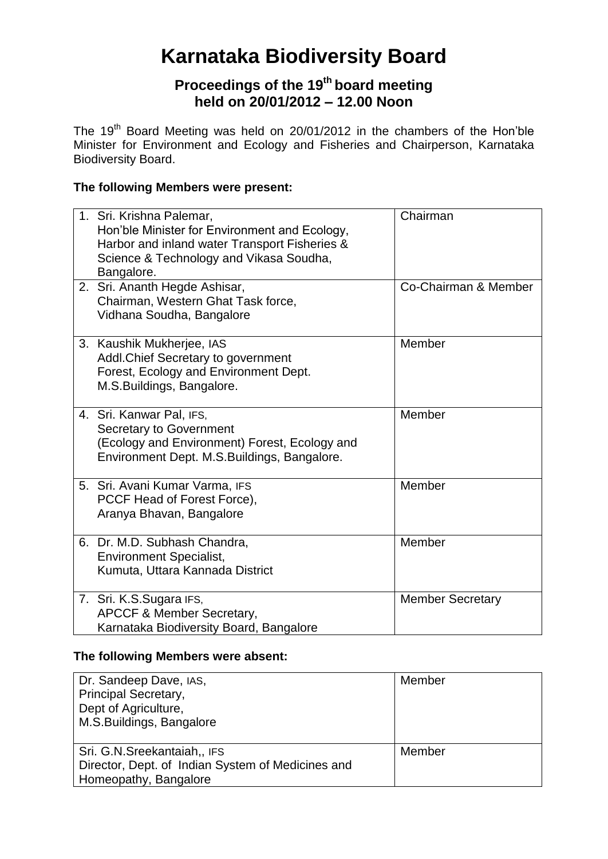# **Karnataka Biodiversity Board**

## **Proceedings of the 19th board meeting held on 20/01/2012 – 12.00 Noon**

The 19<sup>th</sup> Board Meeting was held on 20/01/2012 in the chambers of the Hon'ble Minister for Environment and Ecology and Fisheries and Chairperson, Karnataka Biodiversity Board.

## **The following Members were present:**

| 1. Sri. Krishna Palemar,<br>Hon'ble Minister for Environment and Ecology,<br>Harbor and inland water Transport Fisheries &<br>Science & Technology and Vikasa Soudha,<br>Bangalore. | Chairman                |
|-------------------------------------------------------------------------------------------------------------------------------------------------------------------------------------|-------------------------|
| 2. Sri. Ananth Hegde Ashisar,<br>Chairman, Western Ghat Task force,<br>Vidhana Soudha, Bangalore                                                                                    | Co-Chairman & Member    |
| 3. Kaushik Mukherjee, IAS<br>Addl. Chief Secretary to government<br>Forest, Ecology and Environment Dept.<br>M.S.Buildings, Bangalore.                                              | Member                  |
| 4. Sri. Kanwar Pal, IFS,<br><b>Secretary to Government</b><br>(Ecology and Environment) Forest, Ecology and<br>Environment Dept. M.S.Buildings, Bangalore.                          | Member                  |
| 5. Sri. Avani Kumar Varma, IFS<br>PCCF Head of Forest Force),<br>Aranya Bhavan, Bangalore                                                                                           | Member                  |
| 6. Dr. M.D. Subhash Chandra,<br><b>Environment Specialist,</b><br>Kumuta, Uttara Kannada District                                                                                   | Member                  |
| 7. Sri. K.S.Sugara IFS,<br><b>APCCF &amp; Member Secretary,</b><br>Karnataka Biodiversity Board, Bangalore                                                                          | <b>Member Secretary</b> |

#### **The following Members were absent:**

| Dr. Sandeep Dave, IAS,                            | Member |
|---------------------------------------------------|--------|
| Principal Secretary,                              |        |
| Dept of Agriculture,                              |        |
| M.S.Buildings, Bangalore                          |        |
|                                                   |        |
| Sri. G.N. Sreekantaiah,, IFS                      | Member |
| Director, Dept. of Indian System of Medicines and |        |
| Homeopathy, Bangalore                             |        |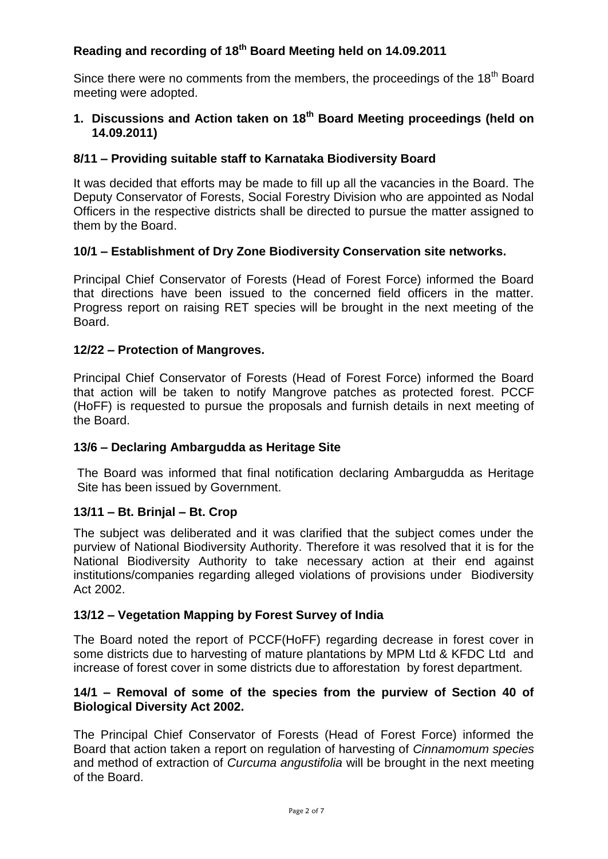## **Reading and recording of 18 th Board Meeting held on 14.09.2011**

Since there were no comments from the members, the proceedings of the 18<sup>th</sup> Board meeting were adopted.

#### **1. Discussions and Action taken on 18th Board Meeting proceedings (held on 14.09.2011)**

#### **8/11 – Providing suitable staff to Karnataka Biodiversity Board**

It was decided that efforts may be made to fill up all the vacancies in the Board. The Deputy Conservator of Forests, Social Forestry Division who are appointed as Nodal Officers in the respective districts shall be directed to pursue the matter assigned to them by the Board.

#### **10/1 – Establishment of Dry Zone Biodiversity Conservation site networks.**

Principal Chief Conservator of Forests (Head of Forest Force) informed the Board that directions have been issued to the concerned field officers in the matter. Progress report on raising RET species will be brought in the next meeting of the Board.

#### **12/22 – Protection of Mangroves.**

Principal Chief Conservator of Forests (Head of Forest Force) informed the Board that action will be taken to notify Mangrove patches as protected forest. PCCF (HoFF) is requested to pursue the proposals and furnish details in next meeting of the Board.

#### **13/6 – Declaring Ambargudda as Heritage Site**

The Board was informed that final notification declaring Ambargudda as Heritage Site has been issued by Government.

#### **13/11 – Bt. Brinjal – Bt. Crop**

The subject was deliberated and it was clarified that the subject comes under the purview of National Biodiversity Authority. Therefore it was resolved that it is for the National Biodiversity Authority to take necessary action at their end against institutions/companies regarding alleged violations of provisions under Biodiversity Act 2002.

#### **13/12 – Vegetation Mapping by Forest Survey of India**

The Board noted the report of PCCF(HoFF) regarding decrease in forest cover in some districts due to harvesting of mature plantations by MPM Ltd & KFDC Ltd and increase of forest cover in some districts due to afforestation by forest department.

#### **14/1 – Removal of some of the species from the purview of Section 40 of Biological Diversity Act 2002.**

The Principal Chief Conservator of Forests (Head of Forest Force) informed the Board that action taken a report on regulation of harvesting of *Cinnamomum species*  and method of extraction of *Curcuma angustifolia* will be brought in the next meeting of the Board.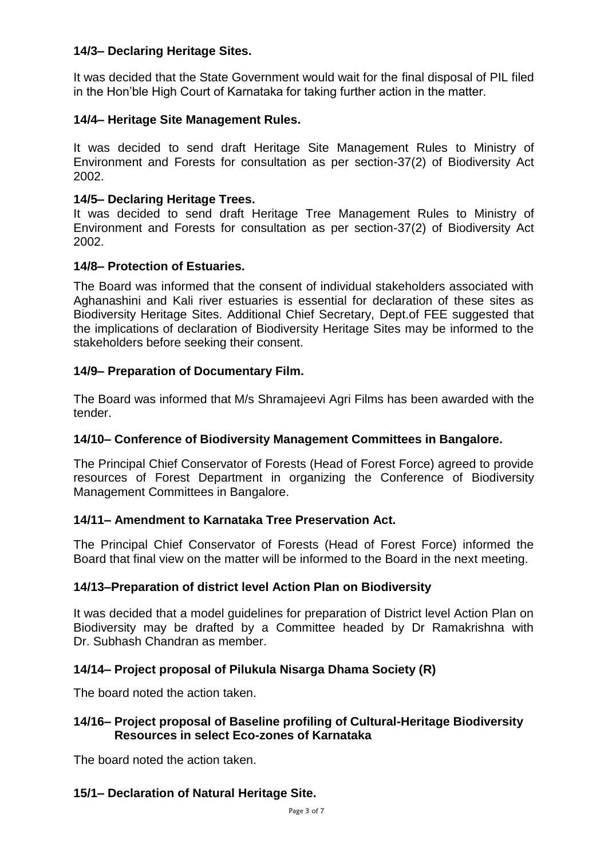#### **14/3– Declaring Heritage Sites.**

It was decided that the State Government would wait for the final disposal of PIL filed in the Hon'ble High Court of Karnataka for taking further action in the matter.

#### **14/4– Heritage Site Management Rules.**

It was decided to send draft Heritage Site Management Rules to Ministry of Environment and Forests for consultation as per section-37(2) of Biodiversity Act 2002.

#### **14/5– Declaring Heritage Trees.**

It was decided to send draft Heritage Tree Management Rules to Ministry of Environment and Forests for consultation as per section-37(2) of Biodiversity Act 2002.

#### **14/8– Protection of Estuaries.**

The Board was informed that the consent of individual stakeholders associated with Aghanashini and Kali river estuaries is essential for declaration of these sites as Biodiversity Heritage Sites. Additional Chief Secretary, Dept.of FEE suggested that the implications of declaration of Biodiversity Heritage Sites may be informed to the stakeholders before seeking their consent.

#### **14/9– Preparation of Documentary Film.**

The Board was informed that M/s Shramajeevi Agri Films has been awarded with the tender.

#### **14/10– Conference of Biodiversity Management Committees in Bangalore.**

The Principal Chief Conservator of Forests (Head of Forest Force) agreed to provide resources of Forest Department in organizing the Conference of Biodiversity Management Committees in Bangalore.

#### **14/11– Amendment to Karnataka Tree Preservation Act.**

The Principal Chief Conservator of Forests (Head of Forest Force) informed the Board that final view on the matter will be informed to the Board in the next meeting.

#### **14/13–Preparation of district level Action Plan on Biodiversity**

It was decided that a model guidelines for preparation of District level Action Plan on Biodiversity may be drafted by a Committee headed by Dr Ramakrishna with Dr. Subhash Chandran as member.

#### **14/14– Project proposal of Pilukula Nisarga Dhama Society (R)**

The board noted the action taken.

#### **14/16– Project proposal of Baseline profiling of Cultural-Heritage Biodiversity Resources in select Eco-zones of Karnataka**

The board noted the action taken.

#### **15/1– Declaration of Natural Heritage Site.**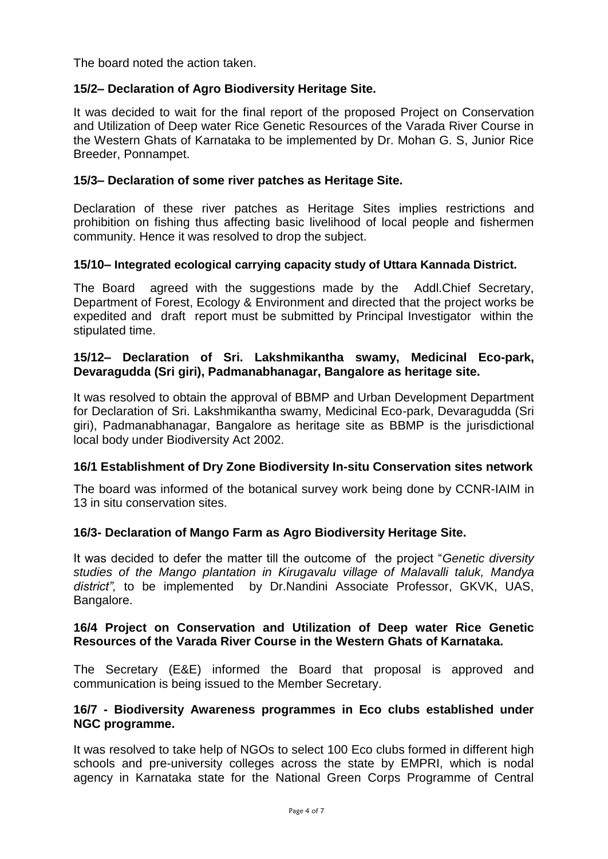The board noted the action taken.

#### **15/2– Declaration of Agro Biodiversity Heritage Site.**

It was decided to wait for the final report of the proposed Project on Conservation and Utilization of Deep water Rice Genetic Resources of the Varada River Course in the Western Ghats of Karnataka to be implemented by Dr. Mohan G. S, Junior Rice Breeder, Ponnampet.

#### **15/3– Declaration of some river patches as Heritage Site.**

Declaration of these river patches as Heritage Sites implies restrictions and prohibition on fishing thus affecting basic livelihood of local people and fishermen community. Hence it was resolved to drop the subject.

#### **15/10– Integrated ecological carrying capacity study of Uttara Kannada District.**

The Board agreed with the suggestions made by the Addl.Chief Secretary, Department of Forest, Ecology & Environment and directed that the project works be expedited and draft report must be submitted by Principal Investigator within the stipulated time.

#### **15/12– Declaration of Sri. Lakshmikantha swamy, Medicinal Eco-park, Devaragudda (Sri giri), Padmanabhanagar, Bangalore as heritage site.**

It was resolved to obtain the approval of BBMP and Urban Development Department for Declaration of Sri. Lakshmikantha swamy, Medicinal Eco-park, Devaragudda (Sri giri), Padmanabhanagar, Bangalore as heritage site as BBMP is the jurisdictional local body under Biodiversity Act 2002.

#### **16/1 Establishment of Dry Zone Biodiversity In-situ Conservation sites network**

The board was informed of the botanical survey work being done by CCNR-IAIM in 13 in situ conservation sites.

#### **16/3- Declaration of Mango Farm as Agro Biodiversity Heritage Site.**

It was decided to defer the matter till the outcome of the project "*Genetic diversity studies of the Mango plantation in Kirugavalu village of Malavalli taluk, Mandya district",* to be implemented by Dr.Nandini Associate Professor, GKVK, UAS, Bangalore.

#### **16/4 Project on Conservation and Utilization of Deep water Rice Genetic Resources of the Varada River Course in the Western Ghats of Karnataka.**

The Secretary (E&E) informed the Board that proposal is approved and communication is being issued to the Member Secretary.

#### **16/7 - Biodiversity Awareness programmes in Eco clubs established under NGC programme.**

It was resolved to take help of NGOs to select 100 Eco clubs formed in different high schools and pre-university colleges across the state by EMPRI, which is nodal agency in Karnataka state for the National Green Corps Programme of Central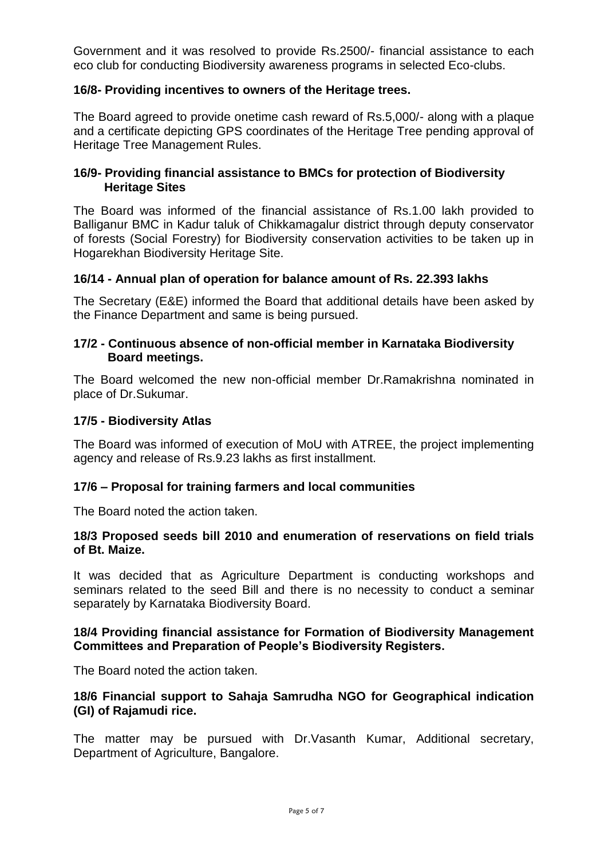Government and it was resolved to provide Rs.2500/- financial assistance to each eco club for conducting Biodiversity awareness programs in selected Eco-clubs.

#### **16/8- Providing incentives to owners of the Heritage trees.**

The Board agreed to provide onetime cash reward of Rs.5,000/- along with a plaque and a certificate depicting GPS coordinates of the Heritage Tree pending approval of Heritage Tree Management Rules.

#### **16/9- Providing financial assistance to BMCs for protection of Biodiversity Heritage Sites**

The Board was informed of the financial assistance of Rs.1.00 lakh provided to Balliganur BMC in Kadur taluk of Chikkamagalur district through deputy conservator of forests (Social Forestry) for Biodiversity conservation activities to be taken up in Hogarekhan Biodiversity Heritage Site.

#### **16/14 - Annual plan of operation for balance amount of Rs. 22.393 lakhs**

The Secretary (E&E) informed the Board that additional details have been asked by the Finance Department and same is being pursued.

#### **17/2 - Continuous absence of non-official member in Karnataka Biodiversity Board meetings.**

The Board welcomed the new non-official member Dr.Ramakrishna nominated in place of Dr.Sukumar.

#### **17/5 - Biodiversity Atlas**

The Board was informed of execution of MoU with ATREE, the project implementing agency and release of Rs.9.23 lakhs as first installment.

#### **17/6 – Proposal for training farmers and local communities**

The Board noted the action taken.

#### **18/3 Proposed seeds bill 2010 and enumeration of reservations on field trials of Bt. Maize.**

It was decided that as Agriculture Department is conducting workshops and seminars related to the seed Bill and there is no necessity to conduct a seminar separately by Karnataka Biodiversity Board.

#### **18/4 Providing financial assistance for Formation of Biodiversity Management Committees and Preparation of People's Biodiversity Registers.**

The Board noted the action taken.

#### **18/6 Financial support to Sahaja Samrudha NGO for Geographical indication (GI) of Rajamudi rice.**

The matter may be pursued with Dr.Vasanth Kumar, Additional secretary, Department of Agriculture, Bangalore.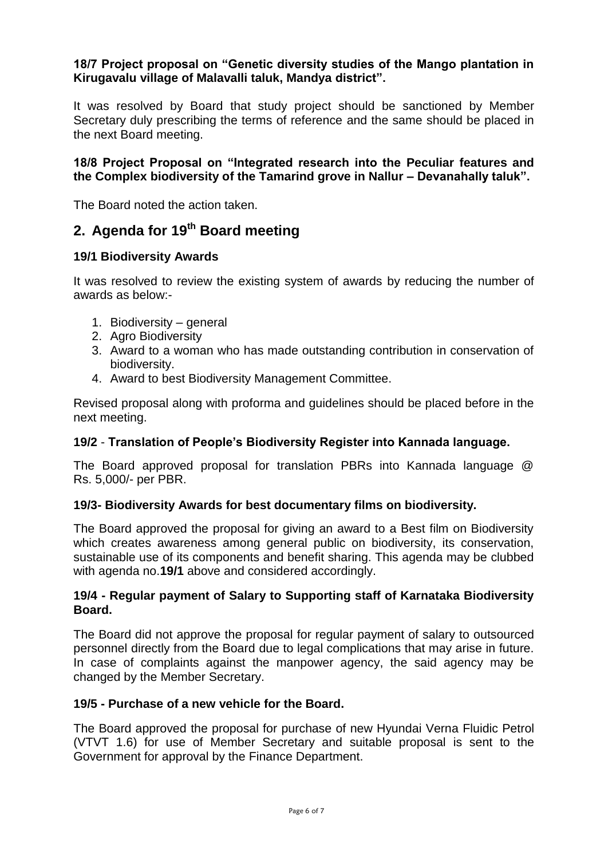#### **18/7 Project proposal on "Genetic diversity studies of the Mango plantation in Kirugavalu village of Malavalli taluk, Mandya district".**

It was resolved by Board that study project should be sanctioned by Member Secretary duly prescribing the terms of reference and the same should be placed in the next Board meeting.

#### **18/8 Project Proposal on "Integrated research into the Peculiar features and the Complex biodiversity of the Tamarind grove in Nallur – Devanahally taluk".**

The Board noted the action taken.

## **2. Agenda for 19th Board meeting**

#### **19/1 Biodiversity Awards**

It was resolved to review the existing system of awards by reducing the number of awards as below:-

- 1. Biodiversity general
- 2. Agro Biodiversity
- 3. Award to a woman who has made outstanding contribution in conservation of biodiversity.
- 4. Award to best Biodiversity Management Committee.

Revised proposal along with proforma and guidelines should be placed before in the next meeting.

#### **19/2** - **Translation of People's Biodiversity Register into Kannada language.**

The Board approved proposal for translation PBRs into Kannada language @ Rs. 5,000/- per PBR.

#### **19/3- Biodiversity Awards for best documentary films on biodiversity.**

The Board approved the proposal for giving an award to a Best film on Biodiversity which creates awareness among general public on biodiversity, its conservation, sustainable use of its components and benefit sharing. This agenda may be clubbed with agenda no.**19/1** above and considered accordingly.

#### **19/4 - Regular payment of Salary to Supporting staff of Karnataka Biodiversity Board.**

The Board did not approve the proposal for regular payment of salary to outsourced personnel directly from the Board due to legal complications that may arise in future. In case of complaints against the manpower agency, the said agency may be changed by the Member Secretary.

#### **19/5 - Purchase of a new vehicle for the Board.**

The Board approved the proposal for purchase of new Hyundai Verna Fluidic Petrol (VTVT 1.6) for use of Member Secretary and suitable proposal is sent to the Government for approval by the Finance Department.